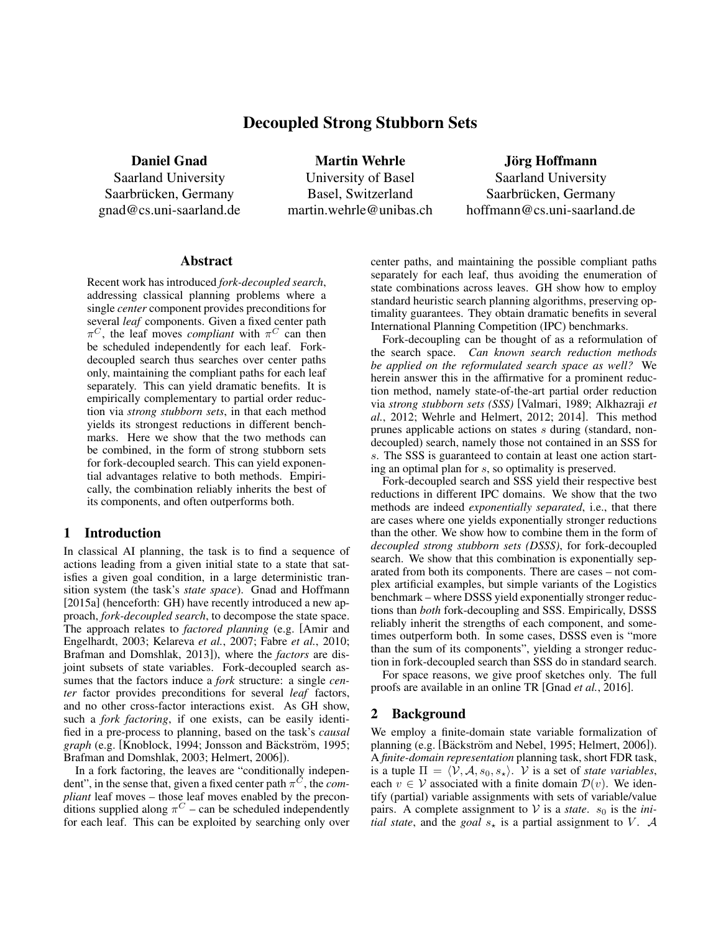# Decoupled Strong Stubborn Sets

Daniel Gnad

Saarland University Saarbrücken, Germany gnad@cs.uni-saarland.de

Martin Wehrle University of Basel Basel, Switzerland martin.wehrle@unibas.ch

Jörg Hoffmann Saarland University Saarbrücken, Germany hoffmann@cs.uni-saarland.de

#### Abstract

Recent work has introduced *fork-decoupled search*, addressing classical planning problems where a single *center* component provides preconditions for several *leaf* components. Given a fixed center path  $\pi$ <sup>C</sup>, the leaf moves *compliant* with  $\pi$ <sup>C</sup> can then be scheduled independently for each leaf. Forkdecoupled search thus searches over center paths only, maintaining the compliant paths for each leaf separately. This can yield dramatic benefits. It is empirically complementary to partial order reduction via *strong stubborn sets*, in that each method yields its strongest reductions in different benchmarks. Here we show that the two methods can be combined, in the form of strong stubborn sets for fork-decoupled search. This can yield exponential advantages relative to both methods. Empirically, the combination reliably inherits the best of its components, and often outperforms both.

#### 1 Introduction

In classical AI planning, the task is to find a sequence of actions leading from a given initial state to a state that satisfies a given goal condition, in a large deterministic transition system (the task's *state space*). Gnad and Hoffmann [2015a] (henceforth: GH) have recently introduced a new approach, *fork-decoupled search*, to decompose the state space. The approach relates to *factored planning* (e.g. [Amir and Engelhardt, 2003; Kelareva *et al.*, 2007; Fabre *et al.*, 2010; Brafman and Domshlak, 2013]), where the *factors* are disjoint subsets of state variables. Fork-decoupled search assumes that the factors induce a *fork* structure: a single *center* factor provides preconditions for several *leaf* factors, and no other cross-factor interactions exist. As GH show, such a *fork factoring*, if one exists, can be easily identified in a pre-process to planning, based on the task's *causal graph* (e.g. [Knoblock, 1994; Jonsson and Bäckström, 1995; Brafman and Domshlak, 2003; Helmert, 2006]).

In a fork factoring, the leaves are "conditionally independent", in the sense that, given a fixed center path  $\pi^C$ , the *compliant* leaf moves – those leaf moves enabled by the preconditions supplied along  $\pi^C$  – can be scheduled independently for each leaf. This can be exploited by searching only over center paths, and maintaining the possible compliant paths separately for each leaf, thus avoiding the enumeration of state combinations across leaves. GH show how to employ standard heuristic search planning algorithms, preserving optimality guarantees. They obtain dramatic benefits in several International Planning Competition (IPC) benchmarks.

Fork-decoupling can be thought of as a reformulation of the search space. *Can known search reduction methods be applied on the reformulated search space as well?* We herein answer this in the affirmative for a prominent reduction method, namely state-of-the-art partial order reduction via *strong stubborn sets (SSS)* [Valmari, 1989; Alkhazraji *et al.*, 2012; Wehrle and Helmert, 2012; 2014]. This method prunes applicable actions on states s during (standard, nondecoupled) search, namely those not contained in an SSS for s. The SSS is guaranteed to contain at least one action starting an optimal plan for s, so optimality is preserved.

Fork-decoupled search and SSS yield their respective best reductions in different IPC domains. We show that the two methods are indeed *exponentially separated*, i.e., that there are cases where one yields exponentially stronger reductions than the other. We show how to combine them in the form of *decoupled strong stubborn sets (DSSS)*, for fork-decoupled search. We show that this combination is exponentially separated from both its components. There are cases – not complex artificial examples, but simple variants of the Logistics benchmark – where DSSS yield exponentially stronger reductions than *both* fork-decoupling and SSS. Empirically, DSSS reliably inherit the strengths of each component, and sometimes outperform both. In some cases, DSSS even is "more than the sum of its components", yielding a stronger reduction in fork-decoupled search than SSS do in standard search.

For space reasons, we give proof sketches only. The full proofs are available in an online TR [Gnad *et al.*, 2016].

#### 2 Background

We employ a finite-domain state variable formalization of planning (e.g. [Bäckström and Nebel, 1995; Helmert, 2006]). A *finite-domain representation* planning task, short FDR task, is a tuple  $\Pi = \langle V, A, s_0, s_\star \rangle$ . V is a set of *state variables*, each  $v \in V$  associated with a finite domain  $\mathcal{D}(v)$ . We identify (partial) variable assignments with sets of variable/value pairs. A complete assignment to  $V$  is a *state*.  $s_0$  is the *initial state*, and the *goal*  $s_{\star}$  is a partial assignment to V. A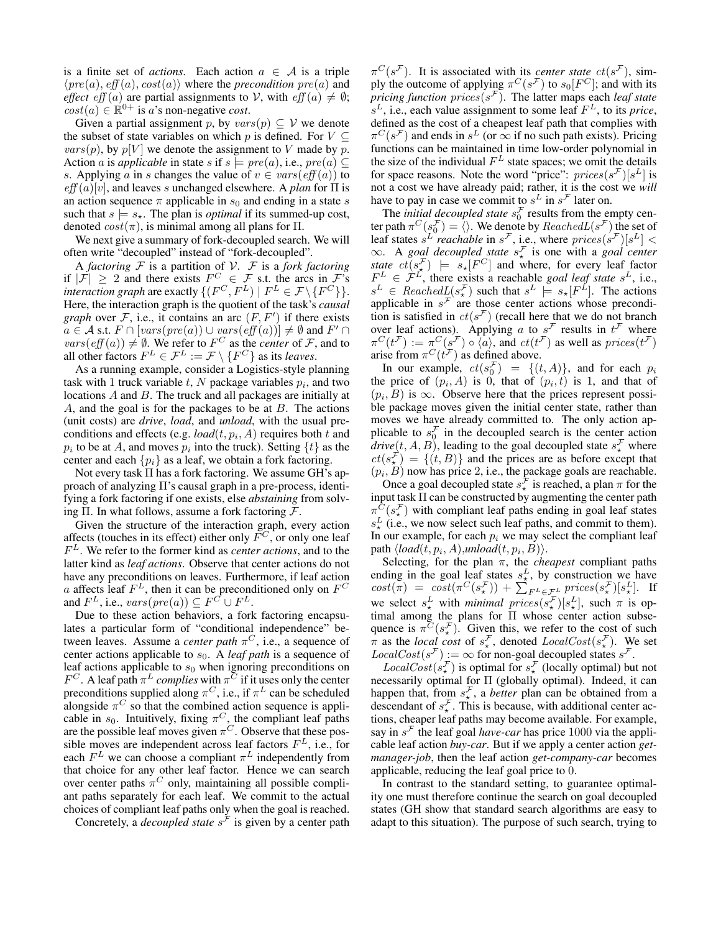is a finite set of *actions*. Each action  $a \in A$  is a triple  $\langle pre(a), eff(a), cost(a) \rangle$  where the *precondition*  $pre(a)$  and *effect* eff (a) are partial assignments to V, with  $eff(a) \neq \emptyset$ ;  $\cos t(a) \in \mathbb{R}^{0+}$  is a's non-negative *cost*.

Given a partial assignment p, by  $vars(p) \subseteq V$  we denote the subset of state variables on which p is defined. For  $V \subseteq$  $vars(p)$ , by  $p[V]$  we denote the assignment to V made by p. Action *a* is *applicable* in state *s* if  $s \models pre(a)$ , i.e.,  $pre(a) \subseteq$ s. Applying a in s changes the value of  $v \in vars(eff(a))$  to  $eff(a)[v]$ , and leaves s unchanged elsewhere. A *plan* for  $\Pi$  is an action sequence  $\pi$  applicable in  $s_0$  and ending in a state s such that  $s \models s_*$ . The plan is *optimal* if its summed-up cost, denoted  $cost(\pi)$ , is minimal among all plans for  $\Pi$ .

We next give a summary of fork-decoupled search. We will often write "decoupled" instead of "fork-decoupled".

A *factoring* F is a partition of V. F is a *fork factoring* if  $|\mathcal{F}| \geq 2$  and there exists  $F^C \in \mathcal{F}$  s.t. the arcs in  $\mathcal{F}$ 's *interaction graph* are exactly  $\{ (F^C, F^L) \mid F^L \in \mathcal{F} \setminus \{ F^C \} \}.$ Here, the interaction graph is the quotient of the task's *causal graph* over  $F$ , i.e., it contains an arc  $(F, F')$  if there exists  $a \in \mathcal{A}$  s.t.  $F \cap [vars(pre(a)) \cup vars(eff(a))] \neq \emptyset$  and  $F' \cap$  $vars(eff(a)) \neq \emptyset$ . We refer to  $F^C$  as the *center* of F, and to all other factors  $F^L \in \mathcal{F}^L := \mathcal{F} \setminus \{F^C\}$  as its *leaves*.

As a running example, consider a Logistics-style planning task with 1 truck variable  $t$ ,  $N$  package variables  $p_i$ , and two locations A and B. The truck and all packages are initially at  $A$ , and the goal is for the packages to be at  $B$ . The actions (unit costs) are *drive*, *load*, and *unload*, with the usual preconditions and effects (e.g.  $load(t, p_i, A)$  requires both t and  $p_i$  to be at A, and moves  $p_i$  into the truck). Setting  $\{t\}$  as the center and each  $\{p_i\}$  as a leaf, we obtain a fork factoring.

Not every task Π has a fork factoring. We assume GH's approach of analyzing Π's causal graph in a pre-process, identifying a fork factoring if one exists, else *abstaining* from solving Π. In what follows, assume a fork factoring  $\mathcal{F}$ .

Given the structure of the interaction graph, every action affects (touches in its effect) either only  $\overline{F}^C$ , or only one leaf F <sup>L</sup>. We refer to the former kind as *center actions*, and to the latter kind as *leaf actions*. Observe that center actions do not have any preconditions on leaves. Furthermore, if leaf action a affects leaf  $F^L$ , then it can be preconditioned only on  $F^C$ and  $F^L$ , i.e.,  $vars(pre(a)) \subseteq F^C \cup F^L$ .

Due to these action behaviors, a fork factoring encapsulates a particular form of "conditional independence" between leaves. Assume a *center path*  $\pi$ <sup>C</sup>, i.e., a sequence of center actions applicable to  $s_0$ . A *leaf path* is a sequence of leaf actions applicable to  $s_0$  when ignoring preconditions on  $F^C$ . A leaf path  $\pi^L$  *complies* with  $\pi^C$  if it uses only the center preconditions supplied along  $\pi^C$ , i.e., if  $\pi^L$  can be scheduled alongside  $\pi^C$  so that the combined action sequence is applicable in  $s_0$ . Intuitively, fixing  $\pi$ <sup>C</sup>, the compliant leaf paths are the possible leaf moves given  $\pi^C$ . Observe that these possible moves are independent across leaf factors  $F<sup>L</sup>$ , i.e., for each  $F^L$  we can choose a compliant  $\pi^L$  independently from that choice for any other leaf factor. Hence we can search over center paths  $\pi$ <sup>C</sup> only, maintaining all possible compliant paths separately for each leaf. We commit to the actual choices of compliant leaf paths only when the goal is reached.

Concretely, a *decoupled state*  $s^{\mathcal{F}}$  is given by a center path

 $\pi^C(s^{\mathcal{F}})$ . It is associated with its *center state*  $ct(s^{\mathcal{F}})$ , simply the outcome of applying  $\pi^C(s^{\mathcal{F}})$  to  $s_0[F^C]$ ; and with its *pricing function*  $\text{prices}(s^{\mathcal{F}})$ *.* The latter maps each *leaf state*  $s^L$ , i.e., each value assignment to some leaf  $F^L$ , to its *price*, defined as the cost of a cheapest leaf path that complies with  $\pi^C(s^{\mathcal{F}})$  and ends in  $s^L$  (or  $\infty$  if no such path exists). Pricing functions can be maintained in time low-order polynomial in the size of the individual  $F<sup>L</sup>$  state spaces; we omit the details for space reasons. Note the word "price":  $\text{prices}(s^{\mathcal{F}})[s^L]$  is not a cost we have already paid; rather, it is the cost we *will* have to pay in case we commit to  $s^L$  in  $s^F$  later on.

The *initial decoupled state*  $s_0^{\mathcal{F}}$  results from the empty center path  $\pi^C(s_0^{\mathcal{F}}) = \langle \rangle$ . We denote by  $ReachedL(s^{\mathcal{F}})$  the set of leaf states  $s^L$  *reachable* in  $s^F$ , i.e., where  $\text{prices}(s^F)[s^L]$  < ∞. A *goal decoupled state* s F ? is one with a *goal center* state  $ct(s_{\star}^{\mathcal{F}})$   $\models$   $s_{\star}[F^C]$  and where, for every leaf factor  $F^L \in \mathcal{F}^L$ , there exists a reachable *goal leaf state*  $s^L$ , i.e.,  $s^L \in \text{Reached}_{\mathcal{L}}(s^{\mathcal{F}})$  such that  $s^L \models s_{\star}[F^L]$ . The actions applicable in  $s^{\mathcal{F}}$  are those center actions whose precondition is satisfied in  $ct(s^{\mathcal{F}})$  (recall here that we do not branch over leaf actions). Applying a to  $s^{\mathcal{F}}$  results in  $t^{\mathcal{F}}$  where  $\pi^C(t^{\mathcal{F}}) := \pi^C(s^{\mathcal{F}}) \circ \langle a \rangle$ , and  $ct(t^{\mathcal{F}})$  as well as  $\text{prices}(t^{\mathcal{F}})$ arise from  $\pi^C(t^{\mathcal{F}})$  as defined above.

In our example,  $ct(s_0^{\mathcal{F}}) = \{(t, A)\}\)$ , and for each  $p_i$ the price of  $(p_i, A)$  is 0, that of  $(p_i, t)$  is 1, and that of  $(p_i, B)$  is  $\infty$ . Observe here that the prices represent possible package moves given the initial center state, rather than moves we have already committed to. The only action applicable to  $s_0^{\mathcal{F}}$  in the decoupled search is the center action *drive*(*t*, *A*, *B*), leading to the goal decoupled state  $s^{\mathcal{F}}_{\star}$  where  $ct(s<sub>\star</sub><sup>\mathcal{F}</sup>) = \{(t, B)\}\$ and the prices are as before except that  $(p_i, B)$  now has price 2, i.e., the package goals are reachable.

Once a goal decoupled state  $s_{\star}^{\mathcal{F}}$  is reached, a plan  $\pi$  for the input task Π can be constructed by augmenting the center path  $\pi \frac{C}{r}(s^{\mathcal{F}})$  with compliant leaf paths ending in goal leaf states  $s_{\star}^{L}$  (i.e., we now select such leaf paths, and commit to them). In our example, for each  $p_i$  we may select the compliant leaf path  $\langle load(t, p_i, A), \text{unload}(t, p_i, B) \rangle$ .

Selecting, for the plan  $\pi$ , the *cheapest* compliant paths ending in the goal leaf states  $s_{\star}^{L}$ , by construction we have  $cost(\pi) = cost(\pi^C(s^{\mathcal{F}}_{\star})) + \sum_{F^L \in \mathcal{F}^L} prices(s^{\mathcal{F}}_{\star})[s^L_{\star}].$  If we select  $s^L_*$  with *minimal prices* $(s^F_*)[s^L_*]$ , such  $\pi$  is optimal among the plans for Π whose center action subsequence is  $\pi^{\overline{C}}(s_{\star}^{\mathcal{F}})$ . Given this, we refer to the cost of such  $\pi$  as the *local cost* of  $s_{\star}^{\mathcal{F}}$ , denoted  $LocalCost(s_{\star}^{\mathcal{F}})$ . We set  $LocalCost(s^{\mathcal{F}}) := \infty$  for non-goal decoupled states  $s^{\mathcal{F}}$ .

 $LocalCost(s^{\mathcal{F}}_{\star})$  is optimal for  $s^{\mathcal{F}}_{\star}$  (locally optimal) but not necessarily optimal for Π (globally optimal). Indeed, it can happen that, from  $s_{\star}^{\mathcal{F}}$ , a *better* plan can be obtained from a descendant of  $s_{\star}^{\mathcal{F}}$ . This is because, with additional center actions, cheaper leaf paths may become available. For example, say in  $s^{\mathcal{F}}$  the leaf goal *have-car* has price 1000 via the applicable leaf action *buy-car*. But if we apply a center action *getmanager-job*, then the leaf action *get-company-car* becomes applicable, reducing the leaf goal price to 0.

In contrast to the standard setting, to guarantee optimality one must therefore continue the search on goal decoupled states (GH show that standard search algorithms are easy to adapt to this situation). The purpose of such search, trying to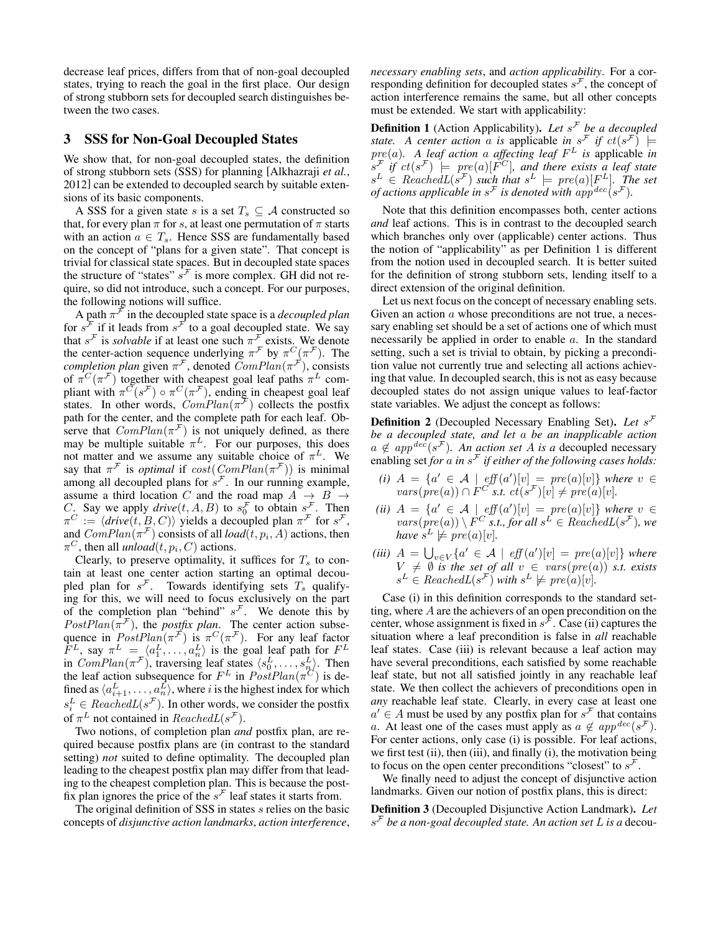decrease leaf prices, differs from that of non-goal decoupled states, trying to reach the goal in the first place. Our design of strong stubborn sets for decoupled search distinguishes between the two cases.

## 3 SSS for Non-Goal Decoupled States

We show that, for non-goal decoupled states, the definition of strong stubborn sets (SSS) for planning [Alkhazraji *et al.*, 2012] can be extended to decoupled search by suitable extensions of its basic components.

A SSS for a given state s is a set  $T_s \subseteq A$  constructed so that, for every plan  $\pi$  for s, at least one permutation of  $\pi$  starts with an action  $a \in T_s$ . Hence SSS are fundamentally based on the concept of "plans for a given state". That concept is trivial for classical state spaces. But in decoupled state spaces the structure of "states"  $s^{\mathcal{F}}$  is more complex. GH did not require, so did not introduce, such a concept. For our purposes, the following notions will suffice.

A path  $\pi^{\mathcal{F}}$  in the decoupled state space is a *decoupled plan* for  $s^{\mathcal{F}}$  if it leads from  $s^{\mathcal{F}}$  to a goal decoupled state. We say that  $s^{\mathcal{F}}$  is *solvable* if at least one such  $\pi^{\mathcal{F}}$  exists. We denote the center-action sequence underlying  $\pi^{\mathcal{F}}$  by  $\pi^C(\pi^{\mathcal{F}})$ . The *completion plan* given  $\pi^{\mathcal{F}}$ , denoted  $ComPlan(\pi^{\mathcal{F}})$ , consists of  $\pi^C(\pi^F)$  together with cheapest goal leaf paths  $\pi^L$  compliant with  $\pi^C(s^{\mathcal{F}}) \circ \pi^C(\pi^{\mathcal{F}})$ , ending in cheapest goal leaf states. In other words,  $\hat{ComPlan}(\pi^{\mathcal{F}})$  collects the postfix path for the center, and the complete path for each leaf. Observe that  $ComPlan(\pi^{\mathcal{F}})$  is not uniquely defined, as there may be multiple suitable  $\pi^L$ . For our purposes, this does not matter and we assume any suitable choice of  $\pi^L$ . We say that  $\pi^{\mathcal{F}}$  is *optimal* if  $cost(ComPlan(\pi^{\mathcal{F}}))$  is minimal among all decoupled plans for  $s^{\mathcal{F}}$ . In our running example, assume a third location C and the road map  $A \rightarrow B \rightarrow$ C. Say we apply  $\text{drive}(t, A, B)$  to  $s_0^{\mathcal{F}}$  to obtain  $s_{\mathcal{F}}^{\mathcal{F}}$ . Then  $\pi^C := \langle$  *drive* $(t, B, C)$ } yields a decoupled plan  $\pi^F$  for  $s^F$ , and  $ComPlan(\pi^{\mathcal{F}})$  consists of all  $load(t, p_i, A)$  actions, then  $\pi^C$ , then all *unload*(*t*, *p<sub>i</sub>*, *C*) actions.

Clearly, to preserve optimality, it suffices for  $T_s$  to contain at least one center action starting an optimal decoupled plan for  $s^{\mathcal{F}}$ . Towards identifying sets  $T_s$  qualifying for this, we will need to focus exclusively on the part of the completion plan "behind"  $s^{\mathcal{F}}$ . We denote this by  $PostPlan(\pi^{\mathcal{F}})$ , the *postfix plan*. The center action subsequence in  $PostPlan(\pi^{\vec{\mathcal{F}}})$  is  $\pi^C(\pi^{\vec{\mathcal{F}}})$ . For any leaf factor  $F^L$ , say  $\pi^L = \langle a_1^L, \ldots, a_n^L \rangle$  is the goal leaf path for  $F^L$ in  $ComPlan(\pi^{\mathcal{F}})$ , traversing leaf states  $\langle s_0^L, \ldots, s_n^L \rangle$ . Then the leaf action subsequence for  $F^L$  in  $PostPlan(\pi^C)$  is defined as  $\langle a_{i+1}^L, \ldots, a_n^L \rangle$ , where i is the highest index for which  $s_i^L \in \text{ReachedL}(s^{\mathcal{F}})$ . In other words, we consider the postfix of  $\pi^L$  not contained in  $ReachedL(s^{\mathcal{F}})$ .

Two notions, of completion plan *and* postfix plan, are required because postfix plans are (in contrast to the standard setting) *not* suited to define optimality. The decoupled plan leading to the cheapest postfix plan may differ from that leading to the cheapest completion plan. This is because the postfix plan ignores the price of the  $s^{\mathcal{F}}$  leaf states it starts from.

The original definition of SSS in states s relies on the basic concepts of *disjunctive action landmarks*, *action interference*, *necessary enabling sets*, and *action applicability*. For a corresponding definition for decoupled states  $s^{\mathcal{F}}$ , the concept of action interference remains the same, but all other concepts must be extended. We start with applicability:

Definition 1 (Action Applicability). *Let* s <sup>F</sup> *be a decoupled state.* A center action a is applicable in  $s^{\mathcal{F}}$  if  $ct(s^{\mathcal{F}})$   $\models$  $pre(a)$ . A leaf action a affecting leaf  $F<sup>L</sup>$  is applicable in  $s^{\mathcal{F}}$  if  $ct(s^{\mathcal{F}})$   $\models$   $pre(a)[F^C]$ , and there exists a leaf state  $s^L \in \text{ReachedL}(s^{\mathcal{F}})$  such that  $s^L \models \text{pre}(a)[F^L]$ . The set *of actions applicable in*  $s^{\mathcal{F}}$  *is denoted with app<sup>dec</sup>(s<sup>F</sup>).* 

Note that this definition encompasses both, center actions *and* leaf actions. This is in contrast to the decoupled search which branches only over (applicable) center actions. Thus the notion of "applicability" as per Definition 1 is different from the notion used in decoupled search. It is better suited for the definition of strong stubborn sets, lending itself to a direct extension of the original definition.

Let us next focus on the concept of necessary enabling sets. Given an action a whose preconditions are not true, a necessary enabling set should be a set of actions one of which must necessarily be applied in order to enable a. In the standard setting, such a set is trivial to obtain, by picking a precondition value not currently true and selecting all actions achieving that value. In decoupled search, this is not as easy because decoupled states do not assign unique values to leaf-factor state variables. We adjust the concept as follows:

Definition 2 (Decoupled Necessary Enabling Set). *Let* s F *be a decoupled state, and let* a *be an inapplicable action*  $a \notin app^{dec}(s^{\mathcal{F}})$ *. An action set A is a* decoupled necessary enabling set *for* a *in* s <sup>F</sup> *if either of the following cases holds:*

- (*i*)  $A = \{a' \in \mathcal{A} \mid \text{eff}(a')[v] = \text{pre}(a)[v] \}$  where  $v \in \mathcal{A}$  $vars(pre(a)) \cap F^{C^*}$ s.t.  $ct(s^{\mathcal{F}})[v] \neq pre(a)[v].$
- (*ii*)  $A = \{a' \in \mathcal{A} \mid \text{eff}(a')[v] = \text{pre}(a)[v] \}$  where  $v \in \mathcal{A}$  $vars(pre(a)) \setminus F^C$  *s.t., for all*  $s^L \in ReachedL(s^F)$ *, we* have  $s^L \not\models pre(a)[v]$ *.*
- (*iii*)  $A = \bigcup_{v \in V} \{a' \in \mathcal{A} \mid \text{eff}(a')[v] = \text{pre}(a)[v] \}$  where  $V \neq \emptyset$  *is the set of all*  $v \in vars(pre(a))$  *s.t. exists*  $s^L \in ReachedL(s^{\mathcal{F}})$  with  $s^L \not\models pre(a)[v]$ .

Case (i) in this definition corresponds to the standard setting, where A are the achievers of an open precondition on the center, whose assignment is fixed in  $s^{\mathcal{F}}$ . Case (ii) captures the situation where a leaf precondition is false in *all* reachable leaf states. Case (iii) is relevant because a leaf action may have several preconditions, each satisfied by some reachable leaf state, but not all satisfied jointly in any reachable leaf state. We then collect the achievers of preconditions open in *any* reachable leaf state. Clearly, in every case at least one  $a' \in A$  must be used by any postfix plan for  $s^{\mathcal{F}}$  that contains a. At least one of the cases must apply as  $a \notin app^{dec}(s^{\mathcal{F}})$ . For center actions, only case (i) is possible. For leaf actions, we first test (ii), then (iii), and finally (i), the motivation being to focus on the open center preconditions "closest" to  $s^{\mathcal{F}}$ .

We finally need to adjust the concept of disjunctive action landmarks. Given our notion of postfix plans, this is direct:

Definition 3 (Decoupled Disjunctive Action Landmark). *Let* s <sup>F</sup> *be a non-goal decoupled state. An action set* L *is a* decou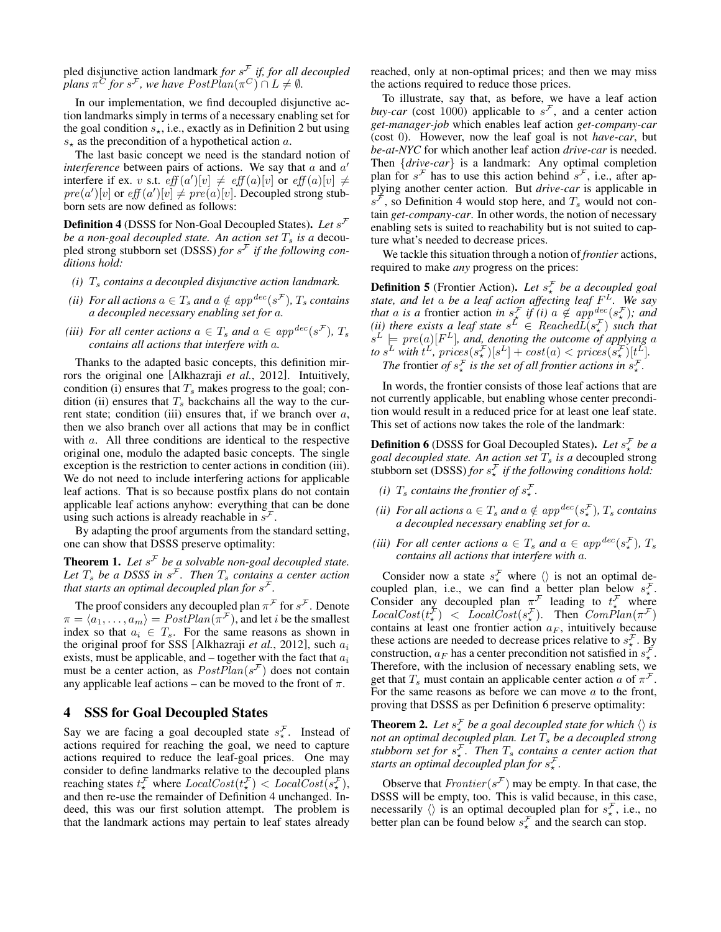pled disjunctive action landmark *for* s <sup>F</sup> *if, for all decoupled plans*  $\pi^C$  *for*  $s^F$ *, we have PostPlan* $(\pi^C) \cap L \neq \emptyset$ *.* 

In our implementation, we find decoupled disjunctive action landmarks simply in terms of a necessary enabling set for the goal condition  $s_{\star}$ , i.e., exactly as in Definition 2 but using  $s_{\star}$  as the precondition of a hypothetical action a.

The last basic concept we need is the standard notion of *interference* between pairs of actions. We say that  $a$  and  $a'$ interfere if ex. v s.t.  $\operatorname{eff}(a')[v] \neq \operatorname{eff}(a)[v]$  or  $\operatorname{eff}(a)[v] \neq$  $pre(a')[v]$  or  $eff(a')[v] \neq pre(a)[v]$ . Decoupled strong stubborn sets are now defined as follows:

Definition 4 (DSSS for Non-Goal Decoupled States). *Let* s F *be a non-goal decoupled state. An action set*  $T_s$  *is a* decoupled strong stubborn set (DSSS) *for* s <sup>F</sup> *if the following conditions hold:*

- *(i)*  $T_s$  *contains a decoupled disjunctive action landmark.*
- *(ii)* For all actions  $a \in T_s$  and  $a \notin app^{dec}(s^{\mathcal{F}})$ ,  $T_s$  contains *a decoupled necessary enabling set for* a*.*
- *(iii)* For all center actions  $a \in T_s$  and  $a \in app^{dec}(s^{\mathcal{F}})$ ,  $T_s$ *contains all actions that interfere with* a*.*

Thanks to the adapted basic concepts, this definition mirrors the original one [Alkhazraji *et al.*, 2012]. Intuitively, condition (i) ensures that  $T_s$  makes progress to the goal; condition (ii) ensures that  $T_s$  backchains all the way to the current state; condition (iii) ensures that, if we branch over  $a$ , then we also branch over all actions that may be in conflict with *a*. All three conditions are identical to the respective original one, modulo the adapted basic concepts. The single exception is the restriction to center actions in condition (iii). We do not need to include interfering actions for applicable leaf actions. That is so because postfix plans do not contain applicable leaf actions anyhow: everything that can be done using such actions is already reachable in  $s^{\mathcal{F}}$ .

By adapting the proof arguments from the standard setting, one can show that DSSS preserve optimality:

**Theorem 1.** Let  $s^{\mathcal{F}}$  be a solvable non-goal decoupled state. Let  $T_s$  be a DSSS in  $s^F$ . Then  $T_s$  contains a center action that starts an optimal decoupled plan for  $s^{\mathcal{F}}$ .

The proof considers any decoupled plan  $\pi^{\mathcal{F}}$  for  $s^{\mathcal{F}}$ . Denote  $\pi = \langle a_1, \ldots, a_m \rangle = PostPlan(\pi^{\mathcal{F}})$ , and let *i* be the smallest index so that  $a_i \in T_s$ . For the same reasons as shown in the original proof for SSS [Alkhazraji et al., 2012], such  $a_i$ exists, must be applicable, and  $-$  together with the fact that  $a_i$ must be a center action, as  $PostPlan(s^{\mathcal{F}})$  does not contain any applicable leaf actions – can be moved to the front of  $\pi$ .

#### 4 SSS for Goal Decoupled States

Say we are facing a goal decoupled state  $s_{\star}^{\mathcal{F}}$ . Instead of actions required for reaching the goal, we need to capture actions required to reduce the leaf-goal prices. One may consider to define landmarks relative to the decoupled plans reaching states  $t^{\mathcal{F}}_{\star}$  where  $LocalCost(t^{\mathcal{F}}_{\star}) < LocalCost(\tilde{s}^{\mathcal{F}}_{\star}),$ and then re-use the remainder of Definition 4 unchanged. Indeed, this was our first solution attempt. The problem is that the landmark actions may pertain to leaf states already reached, only at non-optimal prices; and then we may miss the actions required to reduce those prices.

To illustrate, say that, as before, we have a leaf action *buy-car* (cost 1000) applicable to  $s^F$ , and a center action *get-manager-job* which enables leaf action *get-company-car* (cost 0). However, now the leaf goal is not *have-car*, but *be-at-NYC* for which another leaf action *drive-car* is needed. Then {*drive-car*} is a landmark: Any optimal completion plan for  $s^{\mathcal{F}}$  has to use this action behind  $s^{\mathcal{F}}$ , i.e., after applying another center action. But *drive-car* is applicable in  $s^{\mathcal{F}}$ , so Definition 4 would stop here, and  $T_s$  would not contain *get-company-car*. In other words, the notion of necessary enabling sets is suited to reachability but is not suited to capture what's needed to decrease prices.

We tackle this situation through a notion of *frontier* actions, required to make *any* progress on the prices:

**Definition 5** (Frontier Action). Let  $s^{\mathcal{F}}_{\star}$  be a decoupled goal *state, and let* a *be a leaf action affecting leaf* F <sup>L</sup>*. We say that* a *is* a frontier action *in*  $s^{\mathcal{F}}_{\star}$  *if* (*i*)  $a \notin app^{\text{dec}}(s^{\mathcal{F}}_{\star})$ *;* and (*ii*) there exists a leaf state  $s^L \in \textit{ReachedL}(s^{\mathcal{F}}_{\star})$  such that  $s^L \models pre(a)[F^L]$ , and, denoting the outcome of applying a *to*  $s^L$  with  $t^L$ ,  $\text{prices}(s^{\mathcal{F}}_*)[s^L] + \text{cost}(a) < \text{prices}(s^{\mathcal{F}}_*)[t^L].$ *The* frontier of  $s^{\mathcal{F}}_{\star}$  *is the set of all frontier actions in*  $s^{\mathcal{F}}_{\star}$ *.* 

In words, the frontier consists of those leaf actions that are not currently applicable, but enabling whose center precondition would result in a reduced price for at least one leaf state. This set of actions now takes the role of the landmark:

**Definition 6** (DSSS for Goal Decoupled States). Let  $s^{\mathcal{F}}_{\star}$  be a *goal decoupled state. An action set*  $T_s$  *is a* decoupled strong stubborn set (DSSS) *for*  $s^{\mathcal{F}}_{\star}$  *if the following conditions hold:* 

- *(i)*  $T_s$  *contains the frontier of*  $s^{\mathcal{F}}_{\star}$ *.*
- *(ii)* For all actions  $a \in T_s$  and  $a \notin app^{dec}(s_{\star}^{\mathcal{F}})$ ,  $T_s$  contains *a decoupled necessary enabling set for* a*.*
- *(iii)* For all center actions  $a \in T_s$  and  $a \in app^{dec}(s_{\star}^{\mathcal{F}})$ ,  $T_s$ *contains all actions that interfere with* a*.*

Consider now a state  $s_{\star}^{\mathcal{F}}$  where  $\langle \rangle$  is not an optimal decoupled plan, i.e., we can find a better plan below  $s^{\mathcal{F}}_{\star}$ . Consider any decoupled plan  $\pi^{\mathcal{F}}$  leading to  $t^{\mathcal{F}}_{\star}$  where  $LocalCost(t^{\mathcal{F}}_{\star}) \leq LocalCost(s^{\mathcal{F}}_{\star}).$  Then  $ComPlan(\pi^{\mathcal{F}})$ contains at least one frontier action  $a_F$ , intuitively because these actions are needed to decrease prices relative to  $s_{\star}^{\mathcal{F}}$ . By construction,  $a_F$  has a center precondition not satisfied in  $s_{\star}^{\mathcal{F}}$ . Therefore, with the inclusion of necessary enabling sets, we get that  $T_s$  must contain an applicable center action a of  $\pi^{\mathcal{F}}$ . For the same reasons as before we can move  $a$  to the front, proving that DSSS as per Definition 6 preserve optimality:

**Theorem 2.** Let  $s^{\mathcal{F}}_{\star}$  be a goal decoupled state for which  $\langle \rangle$  is *not an optimal decoupled plan. Let*  $T_s$  *be a decoupled strong stubborn set for*  $s^{\mathcal{F}}_{\star}$ . Then  $T_s$  *contains a center action that starts an optimal decoupled plan for*  $s^{\mathcal{F}}_{\star}$ .

Observe that  $Frontier(s^{\mathcal{F}})$  may be empty. In that case, the DSSS will be empty, too. This is valid because, in this case, necessarily  $\langle \rangle$  is an optimal decoupled plan for  $s_{\star}^{\mathcal{F}}$ , i.e., no better plan can be found below  $s_{\star}^{\mathcal{F}}$  and the search can stop.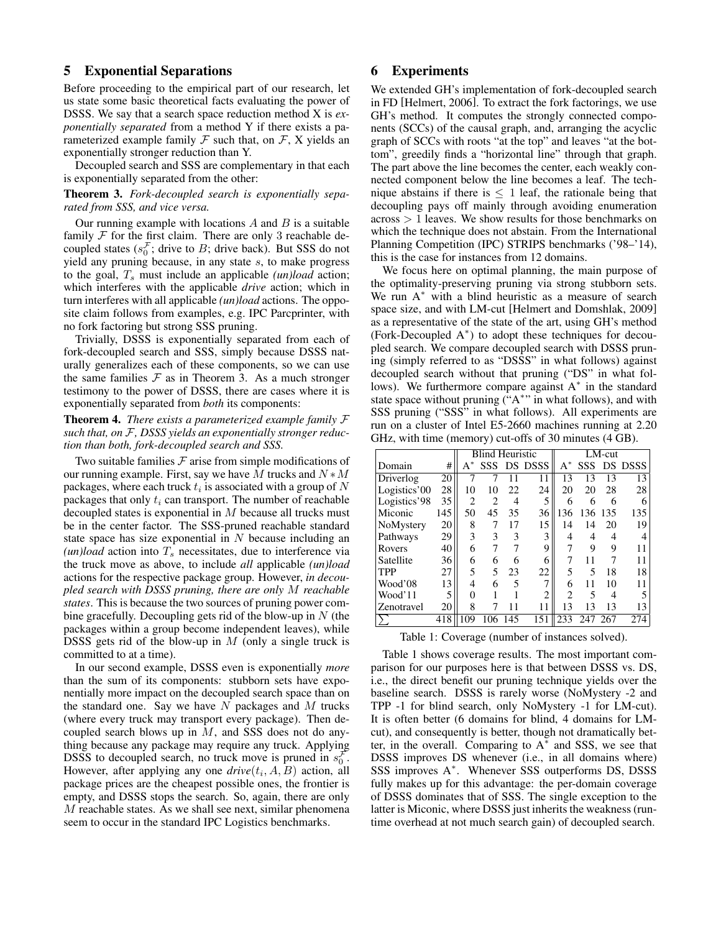#### 5 Exponential Separations

Before proceeding to the empirical part of our research, let us state some basic theoretical facts evaluating the power of DSSS. We say that a search space reduction method X is *exponentially separated* from a method Y if there exists a parameterized example family  $\mathcal F$  such that, on  $\mathcal F$ , X yields an exponentially stronger reduction than Y.

Decoupled search and SSS are complementary in that each is exponentially separated from the other:

Theorem 3. *Fork-decoupled search is exponentially separated from SSS, and vice versa.*

Our running example with locations  $A$  and  $B$  is a suitable family  $F$  for the first claim. There are only 3 reachable decoupled states ( $s_0^{\mathcal{F}}$ ; drive to B; drive back). But SSS do not yield any pruning because, in any state s, to make progress to the goal,  $T_s$  must include an applicable *(un)load* action; which interferes with the applicable *drive* action; which in turn interferes with all applicable *(un)load* actions. The opposite claim follows from examples, e.g. IPC Parcprinter, with no fork factoring but strong SSS pruning.

Trivially, DSSS is exponentially separated from each of fork-decoupled search and SSS, simply because DSSS naturally generalizes each of these components, so we can use the same families  $F$  as in Theorem 3. As a much stronger testimony to the power of DSSS, there are cases where it is exponentially separated from *both* its components:

Theorem 4. *There exists a parameterized example family* F *such that, on* F*, DSSS yields an exponentially stronger reduction than both, fork-decoupled search and SSS.*

Two suitable families  $F$  arise from simple modifications of our running example. First, say we have M trucks and  $N * M$ packages, where each truck  $t_i$  is associated with a group of  $N$ packages that only  $t_i$  can transport. The number of reachable decoupled states is exponential in M because all trucks must be in the center factor. The SSS-pruned reachable standard state space has size exponential in  $N$  because including an  $(un) load$  action into  $T_s$  necessitates, due to interference via the truck move as above, to include *all* applicable *(un)load* actions for the respective package group. However, *in decoupled search with DSSS pruning, there are only* M *reachable states*. This is because the two sources of pruning power combine gracefully. Decoupling gets rid of the blow-up in  $N$  (the packages within a group become independent leaves), while DSSS gets rid of the blow-up in  $M$  (only a single truck is committed to at a time).

In our second example, DSSS even is exponentially *more* than the sum of its components: stubborn sets have exponentially more impact on the decoupled search space than on the standard one. Say we have  $N$  packages and  $M$  trucks (where every truck may transport every package). Then decoupled search blows up in  $M$ , and SSS does not do anything because any package may require any truck. Applying DSSS to decoupled search, no truck move is pruned in  $s_0^{\mathcal{F}}$ . However, after applying any one  $drive(t_i, A, B)$  action, all package prices are the cheapest possible ones, the frontier is empty, and DSSS stops the search. So, again, there are only M reachable states. As we shall see next, similar phenomena seem to occur in the standard IPC Logistics benchmarks.

### 6 Experiments

We extended GH's implementation of fork-decoupled search in FD [Helmert, 2006]. To extract the fork factorings, we use GH's method. It computes the strongly connected components (SCCs) of the causal graph, and, arranging the acyclic graph of SCCs with roots "at the top" and leaves "at the bottom", greedily finds a "horizontal line" through that graph. The part above the line becomes the center, each weakly connected component below the line becomes a leaf. The technique abstains if there is  $\leq 1$  leaf, the rationale being that decoupling pays off mainly through avoiding enumeration across > 1 leaves. We show results for those benchmarks on which the technique does not abstain. From the International Planning Competition (IPC) STRIPS benchmarks ('98–'14), this is the case for instances from 12 domains.

We focus here on optimal planning, the main purpose of the optimality-preserving pruning via strong stubborn sets. We run A<sup>∗</sup> with a blind heuristic as a measure of search space size, and with LM-cut [Helmert and Domshlak, 2009] as a representative of the state of the art, using GH's method (Fork-Decoupled A<sup>∗</sup> ) to adopt these techniques for decoupled search. We compare decoupled search with DSSS pruning (simply referred to as "DSSS" in what follows) against decoupled search without that pruning ("DS" in what follows). We furthermore compare against A<sup>∗</sup> in the standard state space without pruning ("A\*" in what follows), and with SSS pruning ("SSS" in what follows). All experiments are run on a cluster of Intel E5-2660 machines running at 2.20 GHz, with time (memory) cut-offs of 30 minutes (4 GB).

|              |     | <b>Blind Heuristic</b> |                |     |               | $LM$ -cut      |     |      |             |
|--------------|-----|------------------------|----------------|-----|---------------|----------------|-----|------|-------------|
| Domain       | #   | $A^*$                  |                |     | SSS DS DSSS   | $A^*$          |     |      | SSS DS DSSS |
| Driverlog    | 20  |                        |                |     | 11            | 13             | 13  | 13   | 13          |
| Logistics'00 | 28  | 10                     | 10             | 22  | 24            | 20             | 20  | 28   | 28          |
| Logistics'98 | 35  | $\overline{c}$         | $\overline{c}$ | 4   | 5             | 6              | 6   | 6    | 6           |
| Miconic      | 145 | 50                     | 45             | 35  | 36            | 136            | 136 | -135 | 135         |
| NoMystery    | 20  | 8                      |                | 17  | 15            | 14             | 14  | 20   | 19          |
| Pathways     | 29  | 3                      | 3              | 3   | 3             | 4              | 4   | 4    |             |
| Rovers       | 40  | 6                      |                |     | 9             |                | 9   | 9    | 11          |
| Satellite    | 36  | 6                      | 6              | 6   | 6             | 7              | 11  | 7    | 11          |
| <b>TPP</b>   | 27  | 5                      | 5              | 23  | 22            | 5              | 5   | 18   | 18          |
| Wood'08      | 13  | 4                      | 6              | 5   | $\mathcal{I}$ | 6              | 11  | 10   | 11          |
| Wood'11      | 5   | 0                      |                |     | 2             | $\mathfrak{D}$ | 5   | 4    | 5           |
| Zenotravel   | 20  | 8                      |                |     | 11            | 13             | 13  | 13   | 13          |
|              | 418 | 109                    |                | 145 | 151           | 233            | 247 | 267  | 274         |

Table 1: Coverage (number of instances solved).

Table 1 shows coverage results. The most important comparison for our purposes here is that between DSSS vs. DS, i.e., the direct benefit our pruning technique yields over the baseline search. DSSS is rarely worse (NoMystery -2 and TPP -1 for blind search, only NoMystery -1 for LM-cut). It is often better (6 domains for blind, 4 domains for LMcut), and consequently is better, though not dramatically better, in the overall. Comparing to  $A^*$  and SSS, we see that DSSS improves DS whenever (i.e., in all domains where) SSS improves A<sup>\*</sup>. Whenever SSS outperforms DS, DSSS fully makes up for this advantage: the per-domain coverage of DSSS dominates that of SSS. The single exception to the latter is Miconic, where DSSS just inherits the weakness (runtime overhead at not much search gain) of decoupled search.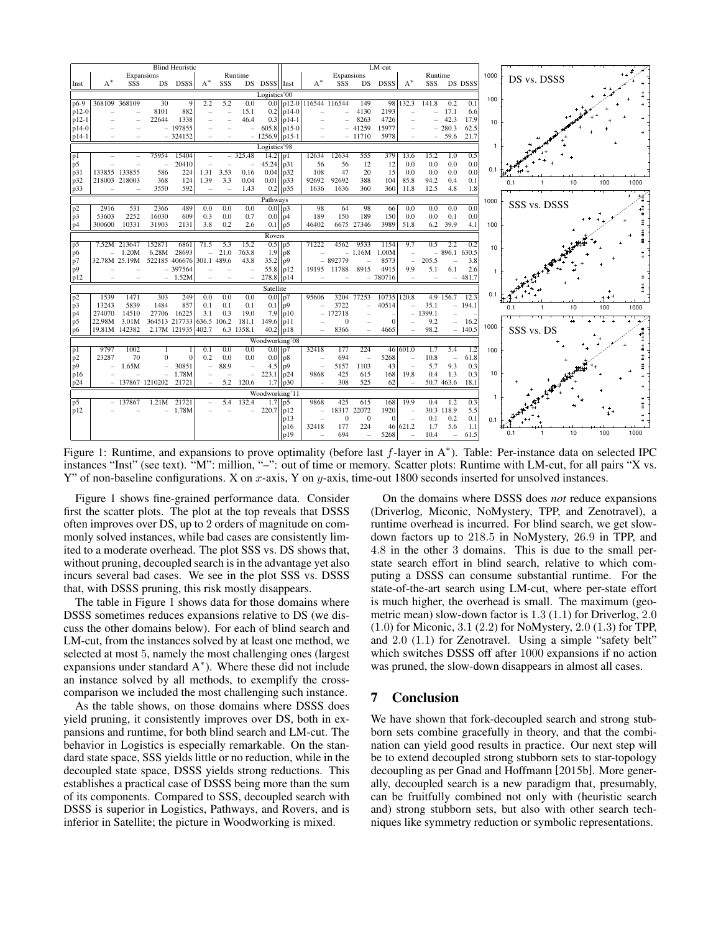

Figure 1: Runtime, and expansions to prove optimality (before last f-layer in A<sup>\*</sup>). Table: Per-instance data on selected IPC instances "Inst" (see text). "M": million, "-": out of time or memory. Scatter plots: Runtime with LM-cut, for all pairs "X vs. Y" of non-baseline configurations. X on x-axis, Y on y-axis, time-out 1800 seconds inserted for unsolved instances.

Figure 1 shows fine-grained performance data. Consider first the scatter plots. The plot at the top reveals that DSSS often improves over DS, up to 2 orders of magnitude on commonly solved instances, while bad cases are consistently limited to a moderate overhead. The plot SSS vs. DS shows that, without pruning, decoupled search is in the advantage yet also incurs several bad cases. We see in the plot SSS vs. DSSS that, with DSSS pruning, this risk mostly disappears.

The table in Figure 1 shows data for those domains where DSSS sometimes reduces expansions relative to DS (we discuss the other domains below). For each of blind search and LM-cut, from the instances solved by at least one method, we selected at most 5, namely the most challenging ones (largest expansions under standard A<sup>∗</sup> ). Where these did not include an instance solved by all methods, to exemplify the crosscomparison we included the most challenging such instance.

As the table shows, on those domains where DSSS does yield pruning, it consistently improves over DS, both in expansions and runtime, for both blind search and LM-cut. The behavior in Logistics is especially remarkable. On the standard state space, SSS yields little or no reduction, while in the decoupled state space, DSSS yields strong reductions. This establishes a practical case of DSSS being more than the sum of its components. Compared to SSS, decoupled search with DSSS is superior in Logistics, Pathways, and Rovers, and is inferior in Satellite; the picture in Woodworking is mixed.

On the domains where DSSS does *not* reduce expansions (Driverlog, Miconic, NoMystery, TPP, and Zenotravel), a runtime overhead is incurred. For blind search, we get slowdown factors up to 218.5 in NoMystery, 26.9 in TPP, and 4.8 in the other 3 domains. This is due to the small perstate search effort in blind search, relative to which computing a DSSS can consume substantial runtime. For the state-of-the-art search using LM-cut, where per-state effort is much higher, the overhead is small. The maximum (geometric mean) slow-down factor is 1.3 (1.1) for Driverlog, 2.0 (1.0) for Miconic, 3.1 (2.2) for NoMystery, 2.0 (1.3) for TPP, and 2.0 (1.1) for Zenotravel. Using a simple "safety belt" which switches DSSS off after 1000 expansions if no action was pruned, the slow-down disappears in almost all cases.

## 7 Conclusion

We have shown that fork-decoupled search and strong stubborn sets combine gracefully in theory, and that the combination can yield good results in practice. Our next step will be to extend decoupled strong stubborn sets to star-topology decoupling as per Gnad and Hoffmann [2015b]. More generally, decoupled search is a new paradigm that, presumably, can be fruitfully combined not only with (heuristic search and) strong stubborn sets, but also with other search techniques like symmetry reduction or symbolic representations.